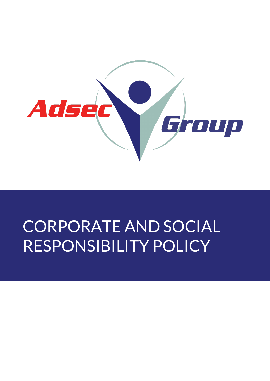

# CORPORATE AND SOCIAL RESPONSIBILITY POLICY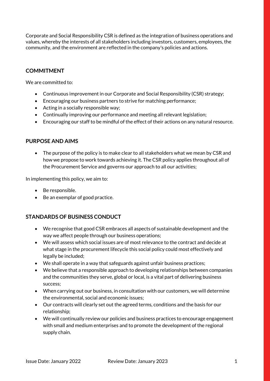Corporate and Social Responsibility CSR is defined as the integration of business operations and values, whereby the interests of all stakeholders including investors, customers, employees, the community, and the environment are reflected in the company's policies and actions.

## **COMMITMENT**

We are committed to:

- Continuous improvement in our Corporate and Social Responsibility (CSR) strategy;
- Encouraging our business partners to strive for matching performance;
- Acting in a socially responsible way;
- Continually improving our performance and meeting all relevant legislation;
- Encouraging our staff to be mindful of the effect of their actions on any natural resource.

## **PURPOSE AND AIMS**

• The purpose of the policy is to make clear to all stakeholders what we mean by CSR and how we propose to work towards achieving it. The CSR policy applies throughout all of the Procurement Service and governs our approach to all our activities;

In implementing this policy, we aim to:

- Be responsible.
- Be an exemplar of good practice.

# **STANDARDS OF BUSINESS CONDUCT**

- We recognise that good CSR embraces all aspects of sustainable development and the way we affect people through our business operations;
- We will assess which social issues are of most relevance to the contract and decide at what stage in the procurement lifecycle this social policy could most effectively and legally be included;
- We shall operate in a way that safeguards against unfair business practices;
- We believe that a responsible approach to developing relationships between companies and the communities they serve, global or local, is a vital part of delivering business success;
- When carrying out our business, in consultation with our customers, we will determine the environmental, social and economic issues;
- Our contracts will clearly set out the agreed terms, conditions and the basis for our relationship;
- We will continually review our policies and business practices to encourage engagement with small and medium enterprises and to promote the development of the regional supply chain.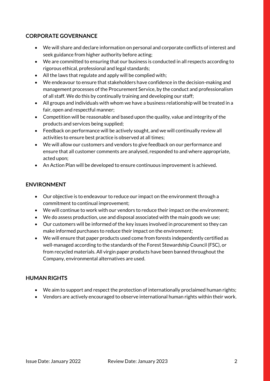# **CORPORATE GOVERNANCE**

- We will share and declare information on personal and corporate conflicts of interest and seek guidance from higher authority before acting;
- We are committed to ensuring that our business is conducted in all respects according to rigorous ethical, professional and legal standards;
- All the laws that regulate and apply will be complied with;
- We endeavour to ensure that stakeholders have confidence in the decision-making and management processes of the Procurement Service, by the conduct and professionalism of all staff. We do this by continually training and developing our staff;
- All groups and individuals with whom we have a business relationship will be treated in a fair, open and respectful manner;
- Competition will be reasonable and based upon the quality, value and integrity of the products and services being supplied;
- Feedback on performance will be actively sought, and we will continually review all activities to ensure best practice is observed at all times;
- We will allow our customers and vendors to give feedback on our performance and ensure that all customer comments are analysed, responded to and where appropriate, acted upon;
- An Action Plan will be developed to ensure continuous improvement is achieved.

## **ENVIRONMENT**

- Our objective is to endeavour to reduce our impact on the environment through a commitment to continual improvement;
- We will continue to work with our vendors to reduce their impact on the environment;
- We do assess production, use and disposal associated with the main goods we use;
- Our customers will be informed of the key issues involved in procurement so they can make informed purchases to reduce their impact on the environment;
- We will ensure that paper products used come from forests independently certified as well-managed according to the standards of the Forest Stewardship Council (FSC), or from recycled materials. All virgin paper products have been banned throughout the Company, environmental alternatives are used.

## **HUMAN RIGHTS**

- We aim to support and respect the protection of internationally proclaimed human rights;
- Vendors are actively encouraged to observe international human rights within their work.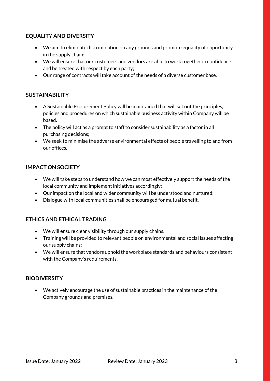# **EQUALITY AND DIVERSITY**

- We aim to eliminate discrimination on any grounds and promote equality of opportunity in the supply chain;
- We will ensure that our customers and vendors are able to work together in confidence and be treated with respect by each party;
- Our range of contracts will take account of the needs of a diverse customer base.

## **SUSTAINABILITY**

- A Sustainable Procurement Policy will be maintained that will set out the principles, policies and procedures on which sustainable business activity within Company will be based.
- The policy will act as a prompt to staff to consider sustainability as a factor in all purchasing decisions;
- We seek to minimise the adverse environmental effects of people travelling to and from our offices.

## **IMPACT ON SOCIETY**

- We will take steps to understand how we can most effectively support the needs of the local community and implement initiatives accordingly;
- Our impact on the local and wider community will be understood and nurtured;
- Dialogue with local communities shall be encouraged for mutual benefit.

## **ETHICS AND ETHICAL TRADING**

- We will ensure clear visibility through our supply chains.
- Training will be provided to relevant people on environmental and social issues affecting our supply chains;
- We will ensure that vendors uphold the workplace standards and behaviours consistent with the Company's requirements.

## **BIODIVERSITY**

• We actively encourage the use of sustainable practices in the maintenance of the Company grounds and premises.